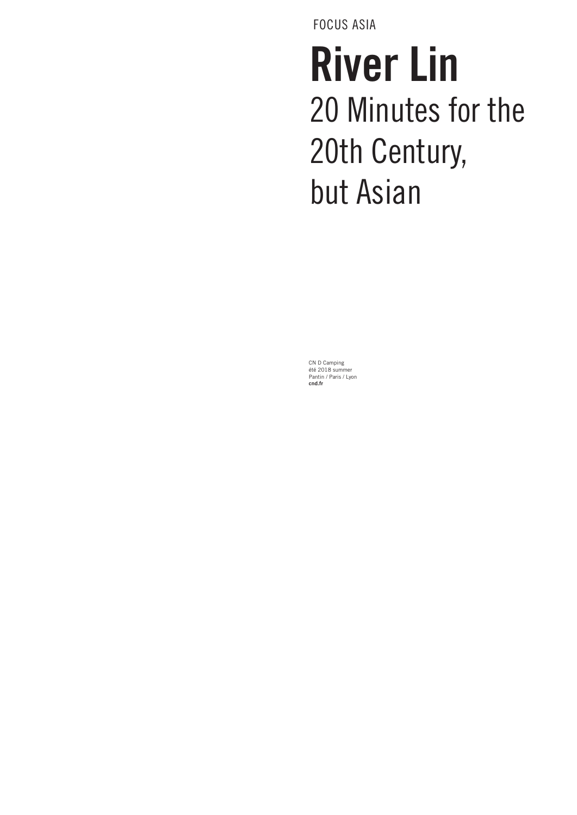FOCUS ASIA

# River Lin 20 Minutes for the 20th Century, but Asian

CN D Camping été 2018 summer Pantin / Paris / Lyon **cnd.fr**